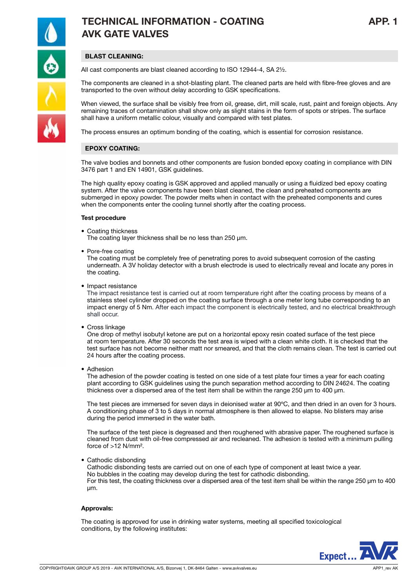

# TECHNICAL INFORMATION - COATING APP. 1 AVK GATE VALVES

## BLAST CLEANING:

All cast components are blast cleaned according to ISO 12944-4, SA 2½.

The components are cleaned in a shot-blasting plant. The cleaned parts are held with fibre-free gloves and are transported to the oven without delay according to GSK specifications.

When viewed, the surface shall be visibly free from oil, grease, dirt, mill scale, rust, paint and foreign objects. Any remaining traces of contamination shall show only as slight stains in the form of spots or stripes. The surface shall have a uniform metallic colour, visually and compared with test plates.

The process ensures an optimum bonding of the coating, which is essential for corrosion resistance.

### EPOXY COATING:

The valve bodies and bonnets and other components are fusion bonded epoxy coating in compliance with DIN 3476 part 1 and EN 14901, GSK guidelines.

The high quality epoxy coating is GSK approved and applied manually or using a fluidized bed epoxy coating system. After the valve components have been blast cleaned, the clean and preheated components are submerged in epoxy powder. The powder melts when in contact with the preheated components and cures when the components enter the cooling tunnel shortly after the coating process.

#### Test procedure

• Coating thickness

The coating layer thickness shall be no less than 250 μm.

• Pore-free coating

The coating must be completely free of penetrating pores to avoid subsequent corrosion of the casting underneath. A 3V holiday detector with a brush electrode is used to electrically reveal and locate any pores in the coating.

• Impact resistance

The impact resistance test is carried out at room temperature right after the coating process by means of a stainless steel cylinder dropped on the coating surface through a one meter long tube corresponding to an impact energy of 5 Nm. After each impact the component is electrically tested, and no electrical breakthrough shall occur.

• Cross linkage

One drop of methyl isobutyl ketone are put on a horizontal epoxy resin coated surface of the test piece at room temperature. After 30 seconds the test area is wiped with a clean white cloth. It is checked that the test surface has not become neither matt nor smeared, and that the cloth remains clean. The test is carried out 24 hours after the coating process.

• Adhesion

The adhesion of the powder coating is tested on one side of a test plate four times a year for each coating plant according to GSK guidelines using the punch separation method according to DIN 24624. The coating thickness over a dispersed area of the test item shall be within the range 250 μm to 400 μm.

The test pieces are immersed for seven days in deionised water at 90ºC, and then dried in an oven for 3 hours. A conditioning phase of 3 to 5 days in normal atmosphere is then allowed to elapse. No blisters may arise during the period immersed in the water bath.

The surface of the test piece is degreased and then roughened with abrasive paper. The roughened surface is cleaned from dust with oil-free compressed air and recleaned. The adhesion is tested with a minimum pulling force of >12 N/mm².

• Cathodic disbonding

Cathodic disbonding tests are carried out on one of each type of component at least twice a year. No bubbles in the coating may develop during the test for cathodic disbonding. For this test, the coating thickness over a dispersed area of the test item shall be within the range 250 μm to 400 μm.

#### Approvals:

The coating is approved for use in drinking water systems, meeting all specified toxicological conditions, by the following institutes: